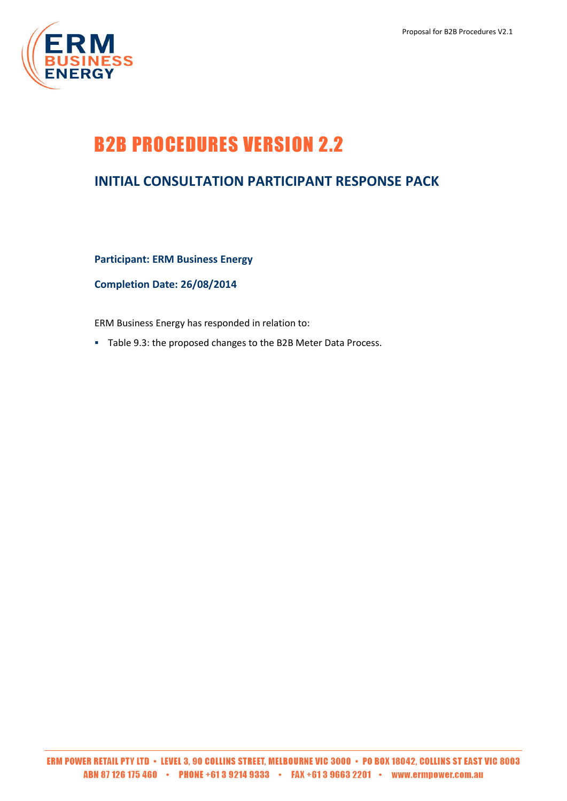## B2B PROCEDURES VERSION 2.2

## **INITIAL CONSULTATION PARTICIPANT RESPONSE PACK**

**Participant: ERM Business Energy**

**Completion Date: 26/08/2014**

ERM Business Energy has responded in relation to:

Table 9.3: the proposed changes to the B2B Meter Data Process.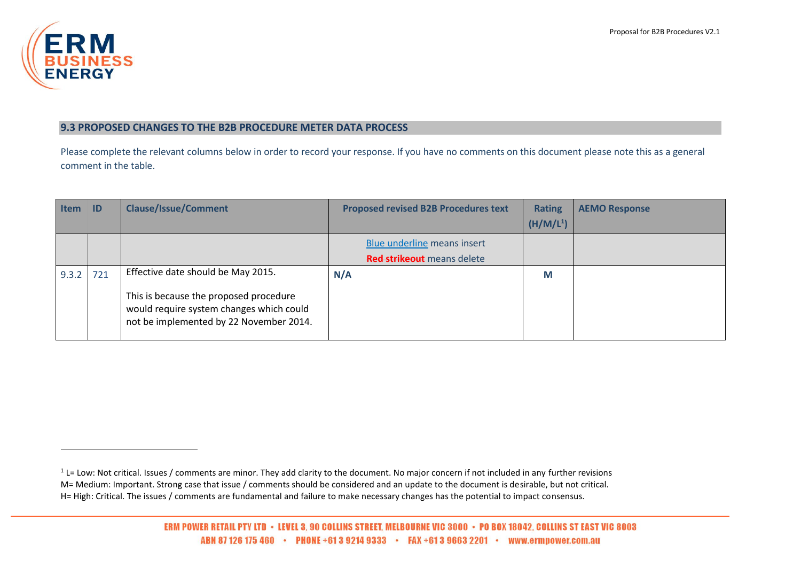

 $\overline{a}$ 

## **9.3 PROPOSED CHANGES TO THE B2B PROCEDURE METER DATA PROCESS**

Please complete the relevant columns below in order to record your response. If you have no comments on this document please note this as a general comment in the table.

| <b>Item</b> | -ID | <b>Clause/Issue/Comment</b>                                                                                                   | <b>Proposed revised B2B Procedures text</b> | <b>Rating</b>         | <b>AEMO Response</b> |
|-------------|-----|-------------------------------------------------------------------------------------------------------------------------------|---------------------------------------------|-----------------------|----------------------|
|             |     |                                                                                                                               |                                             | (H/M/L <sup>1</sup> ) |                      |
|             |     |                                                                                                                               | Blue underline means insert                 |                       |                      |
|             |     |                                                                                                                               | Red strikeout means delete                  |                       |                      |
| 9.3.2       | 721 | Effective date should be May 2015.                                                                                            | N/A                                         | M                     |                      |
|             |     | This is because the proposed procedure<br>would require system changes which could<br>not be implemented by 22 November 2014. |                                             |                       |                      |

 $1$  L= Low: Not critical. Issues / comments are minor. They add clarity to the document. No major concern if not included in any further revisions M= Medium: Important. Strong case that issue / comments should be considered and an update to the document is desirable, but not critical. H= High: Critical. The issues / comments are fundamental and failure to make necessary changes has the potential to impact consensus.